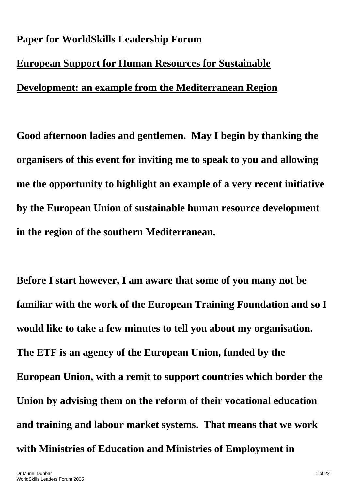## **Paper for WorldSkills Leadership Forum European Support for Human Resources for Sustainable Development: an example from the Mediterranean Region**

**Good afternoon ladies and gentlemen. May I begin by thanking the organisers of this event for inviting me to speak to you and allowing me the opportunity to highlight an example of a very recent initiative by the European Union of sustainable human resource development in the region of the southern Mediterranean.** 

**Before I start however, I am aware that some of you many not be familiar with the work of the European Training Foundation and so I would like to take a few minutes to tell you about my organisation. The ETF is an agency of the European Union, funded by the European Union, with a remit to support countries which border the Union by advising them on the reform of their vocational education and training and labour market systems. That means that we work with Ministries of Education and Ministries of Employment in**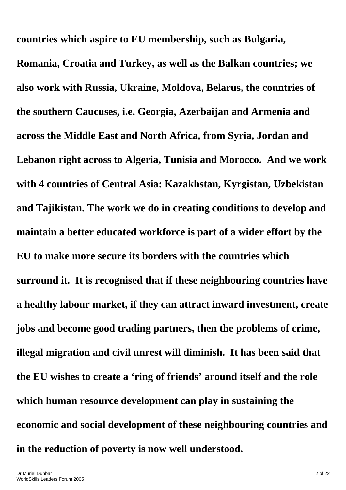**countries which aspire to EU membership, such as Bulgaria, Romania, Croatia and Turkey, as well as the Balkan countries; we also work with Russia, Ukraine, Moldova, Belarus, the countries of the southern Caucuses, i.e. Georgia, Azerbaijan and Armenia and across the Middle East and North Africa, from Syria, Jordan and Lebanon right across to Algeria, Tunisia and Morocco. And we work with 4 countries of Central Asia: Kazakhstan, Kyrgistan, Uzbekistan and Tajikistan. The work we do in creating conditions to develop and maintain a better educated workforce is part of a wider effort by the EU to make more secure its borders with the countries which surround it. It is recognised that if these neighbouring countries have a healthy labour market, if they can attract inward investment, create jobs and become good trading partners, then the problems of crime, illegal migration and civil unrest will diminish. It has been said that the EU wishes to create a 'ring of friends' around itself and the role which human resource development can play in sustaining the economic and social development of these neighbouring countries and in the reduction of poverty is now well understood.**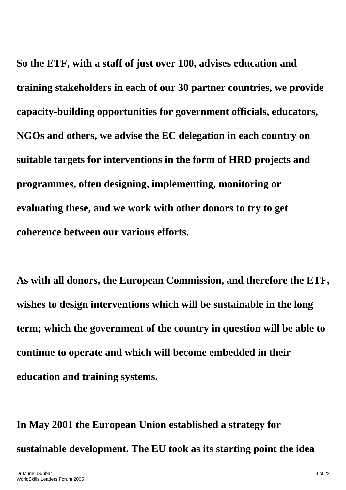**So the ETF, with a staff of just over 100, advises education and training stakeholders in each of our 30 partner countries, we provide capacity-building opportunities for government officials, educators, NGOs and others, we advise the EC delegation in each country on suitable targets for interventions in the form of HRD projects and programmes, often designing, implementing, monitoring or evaluating these, and we work with other donors to try to get coherence between our various efforts.** 

**As with all donors, the European Commission, and therefore the ETF, wishes to design interventions which will be sustainable in the long term; which the government of the country in question will be able to continue to operate and which will become embedded in their education and training systems.** 

**In May 2001 the European Union established a strategy for sustainable development. The EU took as its starting point the idea**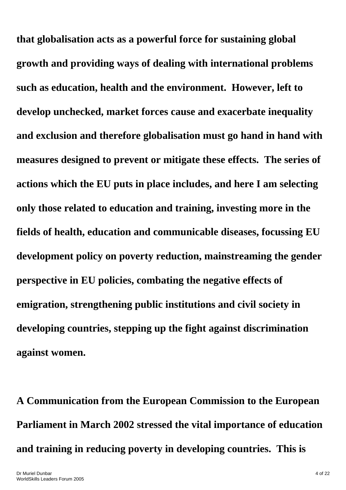**that globalisation acts as a powerful force for sustaining global growth and providing ways of dealing with international problems such as education, health and the environment. However, left to develop unchecked, market forces cause and exacerbate inequality and exclusion and therefore globalisation must go hand in hand with measures designed to prevent or mitigate these effects. The series of actions which the EU puts in place includes, and here I am selecting only those related to education and training, investing more in the fields of health, education and communicable diseases, focussing EU development policy on poverty reduction, mainstreaming the gender perspective in EU policies, combating the negative effects of emigration, strengthening public institutions and civil society in developing countries, stepping up the fight against discrimination against women.** 

**A Communication from the European Commission to the European Parliament in March 2002 stressed the vital importance of education and training in reducing poverty in developing countries. This is**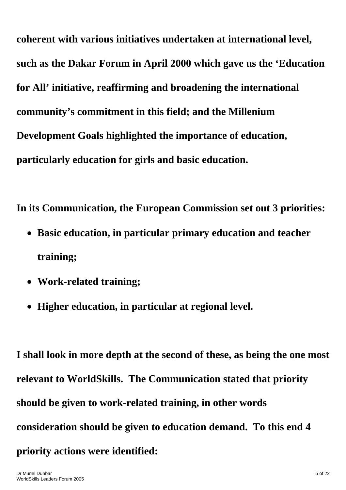**coherent with various initiatives undertaken at international level, such as the Dakar Forum in April 2000 which gave us the 'Education for All' initiative, reaffirming and broadening the international community's commitment in this field; and the Millenium Development Goals highlighted the importance of education, particularly education for girls and basic education.** 

**In its Communication, the European Commission set out 3 priorities:** 

- **Basic education, in particular primary education and teacher training;**
- **Work-related training;**
- **Higher education, in particular at regional level.**

**I shall look in more depth at the second of these, as being the one most relevant to WorldSkills. The Communication stated that priority should be given to work-related training, in other words consideration should be given to education demand. To this end 4 priority actions were identified:**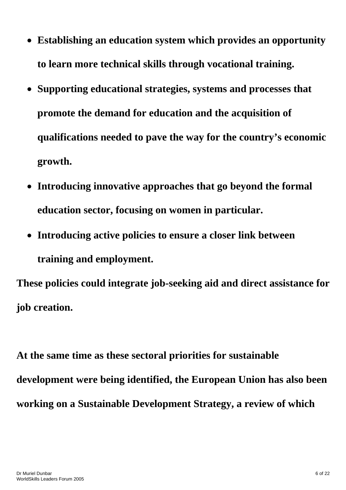- **Establishing an education system which provides an opportunity to learn more technical skills through vocational training.**
- **Supporting educational strategies, systems and processes that promote the demand for education and the acquisition of qualifications needed to pave the way for the country's economic growth.**
- **Introducing innovative approaches that go beyond the formal education sector, focusing on women in particular.**
- **Introducing active policies to ensure a closer link between training and employment.**

**These policies could integrate job-seeking aid and direct assistance for job creation.** 

**At the same time as these sectoral priorities for sustainable development were being identified, the European Union has also been working on a Sustainable Development Strategy, a review of which**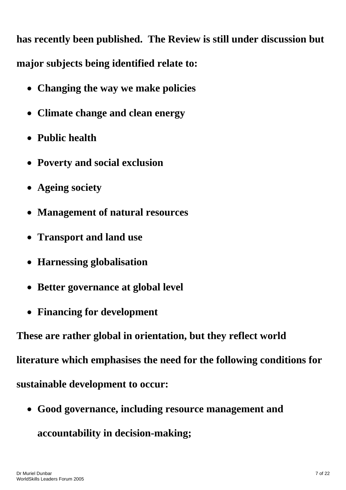**has recently been published. The Review is still under discussion but major subjects being identified relate to:** 

- **Changing the way we make policies**
- **Climate change and clean energy**
- **Public health**
- **Poverty and social exclusion**
- **Ageing society**
- **Management of natural resources**
- **Transport and land use**
- **Harnessing globalisation**
- **Better governance at global level**
- **Financing for development**

**These are rather global in orientation, but they reflect world** 

**literature which emphasises the need for the following conditions for** 

**sustainable development to occur:** 

• **Good governance, including resource management and accountability in decision-making;**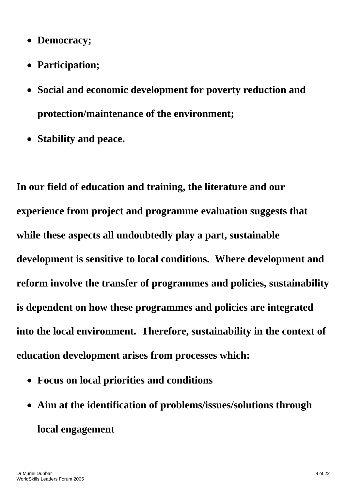- **Democracy;**
- **Participation;**
- **Social and economic development for poverty reduction and protection/maintenance of the environment;**
- **Stability and peace.**

**In our field of education and training, the literature and our experience from project and programme evaluation suggests that while these aspects all undoubtedly play a part, sustainable development is sensitive to local conditions. Where development and reform involve the transfer of programmes and policies, sustainability is dependent on how these programmes and policies are integrated into the local environment. Therefore, sustainability in the context of education development arises from processes which:** 

- **Focus on local priorities and conditions**
- **Aim at the identification of problems/issues/solutions through local engagement**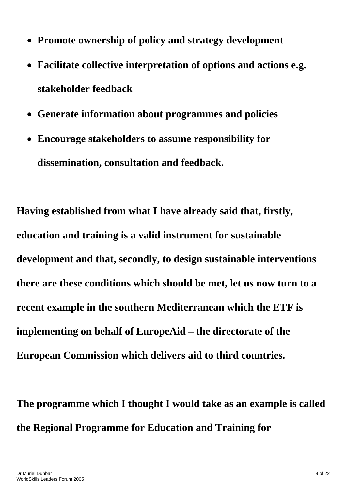- **Promote ownership of policy and strategy development**
- **Facilitate collective interpretation of options and actions e.g. stakeholder feedback**
- **Generate information about programmes and policies**
- **Encourage stakeholders to assume responsibility for dissemination, consultation and feedback.**

**Having established from what I have already said that, firstly, education and training is a valid instrument for sustainable development and that, secondly, to design sustainable interventions there are these conditions which should be met, let us now turn to a recent example in the southern Mediterranean which the ETF is implementing on behalf of EuropeAid – the directorate of the European Commission which delivers aid to third countries.** 

**The programme which I thought I would take as an example is called the Regional Programme for Education and Training for**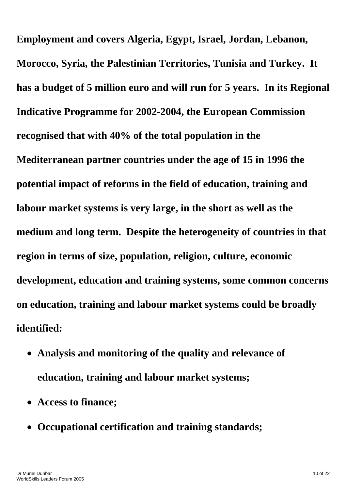**Employment and covers Algeria, Egypt, Israel, Jordan, Lebanon, Morocco, Syria, the Palestinian Territories, Tunisia and Turkey. It has a budget of 5 million euro and will run for 5 years. In its Regional Indicative Programme for 2002-2004, the European Commission recognised that with 40% of the total population in the Mediterranean partner countries under the age of 15 in 1996 the potential impact of reforms in the field of education, training and labour market systems is very large, in the short as well as the medium and long term. Despite the heterogeneity of countries in that region in terms of size, population, religion, culture, economic development, education and training systems, some common concerns on education, training and labour market systems could be broadly identified:** 

- **Analysis and monitoring of the quality and relevance of education, training and labour market systems;**
- **Access to finance;**
- **Occupational certification and training standards;**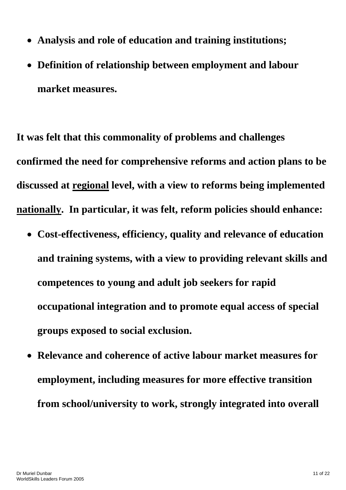- **Analysis and role of education and training institutions;**
- **Definition of relationship between employment and labour market measures.**

**It was felt that this commonality of problems and challenges confirmed the need for comprehensive reforms and action plans to be discussed at regional level, with a view to reforms being implemented nationally. In particular, it was felt, reform policies should enhance:** 

- **Cost-effectiveness, efficiency, quality and relevance of education and training systems, with a view to providing relevant skills and competences to young and adult job seekers for rapid occupational integration and to promote equal access of special groups exposed to social exclusion.**
- **Relevance and coherence of active labour market measures for employment, including measures for more effective transition from school/university to work, strongly integrated into overall**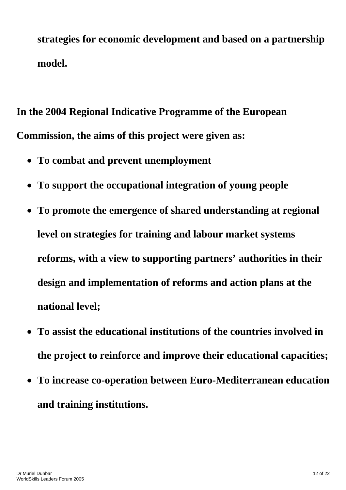**strategies for economic development and based on a partnership model.** 

**In the 2004 Regional Indicative Programme of the European Commission, the aims of this project were given as:** 

- **To combat and prevent unemployment**
- **To support the occupational integration of young people**
- **To promote the emergence of shared understanding at regional level on strategies for training and labour market systems reforms, with a view to supporting partners' authorities in their design and implementation of reforms and action plans at the national level;**
- **To assist the educational institutions of the countries involved in the project to reinforce and improve their educational capacities;**
- **To increase co-operation between Euro-Mediterranean education and training institutions.**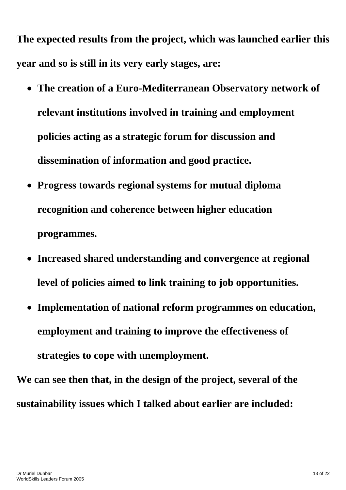**The expected results from the project, which was launched earlier this year and so is still in its very early stages, are:** 

- **The creation of a Euro-Mediterranean Observatory network of relevant institutions involved in training and employment policies acting as a strategic forum for discussion and dissemination of information and good practice.**
- **Progress towards regional systems for mutual diploma recognition and coherence between higher education programmes.**
- **Increased shared understanding and convergence at regional level of policies aimed to link training to job opportunities.**
- **Implementation of national reform programmes on education, employment and training to improve the effectiveness of strategies to cope with unemployment.**

**We can see then that, in the design of the project, several of the sustainability issues which I talked about earlier are included:**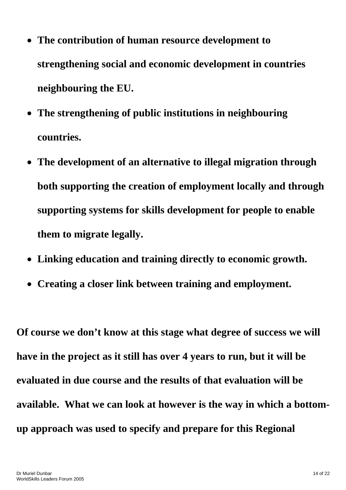- **The contribution of human resource development to strengthening social and economic development in countries neighbouring the EU.**
- **The strengthening of public institutions in neighbouring countries.**
- **The development of an alternative to illegal migration through both supporting the creation of employment locally and through supporting systems for skills development for people to enable them to migrate legally.**
- **Linking education and training directly to economic growth.**
- **Creating a closer link between training and employment.**

**Of course we don't know at this stage what degree of success we will have in the project as it still has over 4 years to run, but it will be evaluated in due course and the results of that evaluation will be available. What we can look at however is the way in which a bottomup approach was used to specify and prepare for this Regional**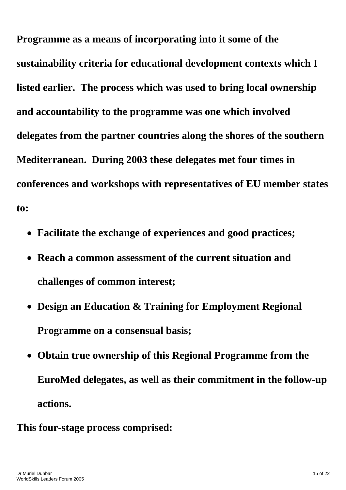**Programme as a means of incorporating into it some of the sustainability criteria for educational development contexts which I listed earlier. The process which was used to bring local ownership and accountability to the programme was one which involved delegates from the partner countries along the shores of the southern Mediterranean. During 2003 these delegates met four times in conferences and workshops with representatives of EU member states to:** 

- **Facilitate the exchange of experiences and good practices;**
- **Reach a common assessment of the current situation and challenges of common interest;**
- **Design an Education & Training for Employment Regional Programme on a consensual basis;**
- **Obtain true ownership of this Regional Programme from the EuroMed delegates, as well as their commitment in the follow-up actions.**
- **This four-stage process comprised:**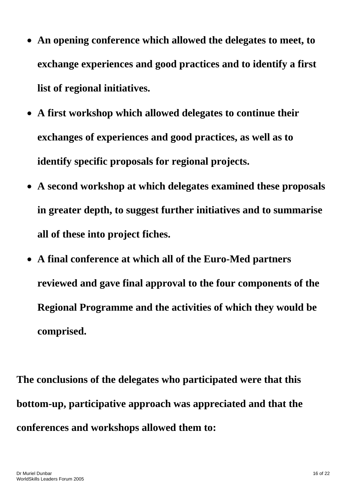- **An opening conference which allowed the delegates to meet, to exchange experiences and good practices and to identify a first list of regional initiatives.**
- **A first workshop which allowed delegates to continue their exchanges of experiences and good practices, as well as to identify specific proposals for regional projects.**
- **A second workshop at which delegates examined these proposals in greater depth, to suggest further initiatives and to summarise all of these into project fiches.**
- **A final conference at which all of the Euro-Med partners reviewed and gave final approval to the four components of the Regional Programme and the activities of which they would be comprised.**

**The conclusions of the delegates who participated were that this bottom-up, participative approach was appreciated and that the conferences and workshops allowed them to:**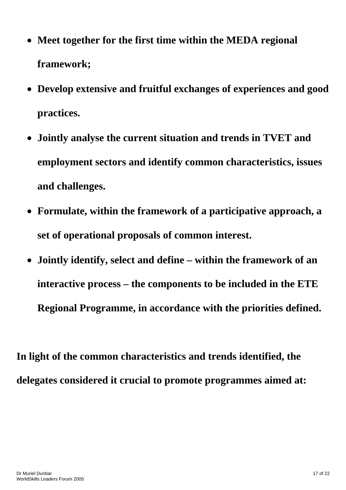- **Meet together for the first time within the MEDA regional framework;**
- **Develop extensive and fruitful exchanges of experiences and good practices.**
- **Jointly analyse the current situation and trends in TVET and employment sectors and identify common characteristics, issues and challenges.**
- **Formulate, within the framework of a participative approach, a set of operational proposals of common interest.**
- **Jointly identify, select and define within the framework of an interactive process – the components to be included in the ETE Regional Programme, in accordance with the priorities defined.**

**In light of the common characteristics and trends identified, the delegates considered it crucial to promote programmes aimed at:**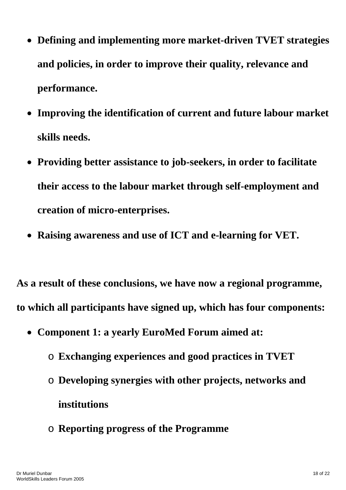- **Defining and implementing more market-driven TVET strategies and policies, in order to improve their quality, relevance and performance.**
- **Improving the identification of current and future labour market skills needs.**
- **Providing better assistance to job-seekers, in order to facilitate their access to the labour market through self-employment and creation of micro-enterprises.**
- **Raising awareness and use of ICT and e-learning for VET.**

**As a result of these conclusions, we have now a regional programme, to which all participants have signed up, which has four components:** 

- **Component 1: a yearly EuroMed Forum aimed at:** 
	- o **Exchanging experiences and good practices in TVET**
	- o **Developing synergies with other projects, networks and institutions**
	- o **Reporting progress of the Programme**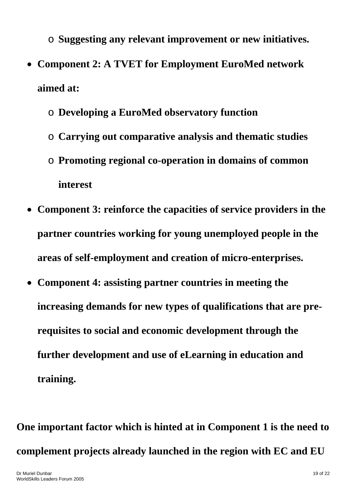o **Suggesting any relevant improvement or new initiatives.**  • **Component 2: A TVET for Employment EuroMed network aimed at:** 

- o **Developing a EuroMed observatory function**
- o **Carrying out comparative analysis and thematic studies**
- o **Promoting regional co-operation in domains of common interest**
- **Component 3: reinforce the capacities of service providers in the partner countries working for young unemployed people in the areas of self-employment and creation of micro-enterprises.**
- **Component 4: assisting partner countries in meeting the increasing demands for new types of qualifications that are prerequisites to social and economic development through the further development and use of eLearning in education and training.**

**One important factor which is hinted at in Component 1 is the need to complement projects already launched in the region with EC and EU**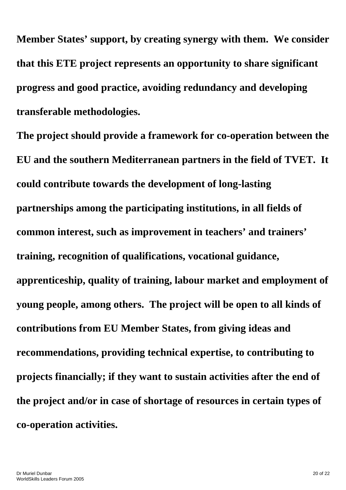**Member States' support, by creating synergy with them. We consider that this ETE project represents an opportunity to share significant progress and good practice, avoiding redundancy and developing transferable methodologies.** 

**The project should provide a framework for co-operation between the EU and the southern Mediterranean partners in the field of TVET. It could contribute towards the development of long-lasting partnerships among the participating institutions, in all fields of common interest, such as improvement in teachers' and trainers' training, recognition of qualifications, vocational guidance, apprenticeship, quality of training, labour market and employment of young people, among others. The project will be open to all kinds of contributions from EU Member States, from giving ideas and recommendations, providing technical expertise, to contributing to projects financially; if they want to sustain activities after the end of the project and/or in case of shortage of resources in certain types of co-operation activities.**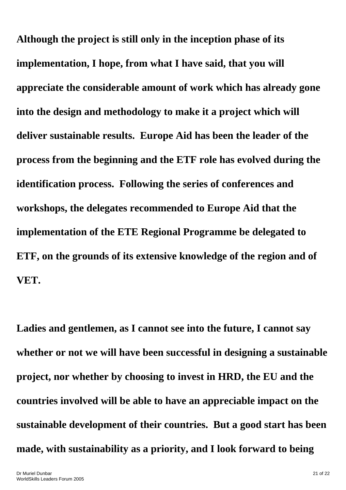**Although the project is still only in the inception phase of its implementation, I hope, from what I have said, that you will appreciate the considerable amount of work which has already gone into the design and methodology to make it a project which will deliver sustainable results. Europe Aid has been the leader of the process from the beginning and the ETF role has evolved during the identification process. Following the series of conferences and workshops, the delegates recommended to Europe Aid that the implementation of the ETE Regional Programme be delegated to ETF, on the grounds of its extensive knowledge of the region and of VET.** 

**Ladies and gentlemen, as I cannot see into the future, I cannot say whether or not we will have been successful in designing a sustainable project, nor whether by choosing to invest in HRD, the EU and the countries involved will be able to have an appreciable impact on the sustainable development of their countries. But a good start has been made, with sustainability as a priority, and I look forward to being**